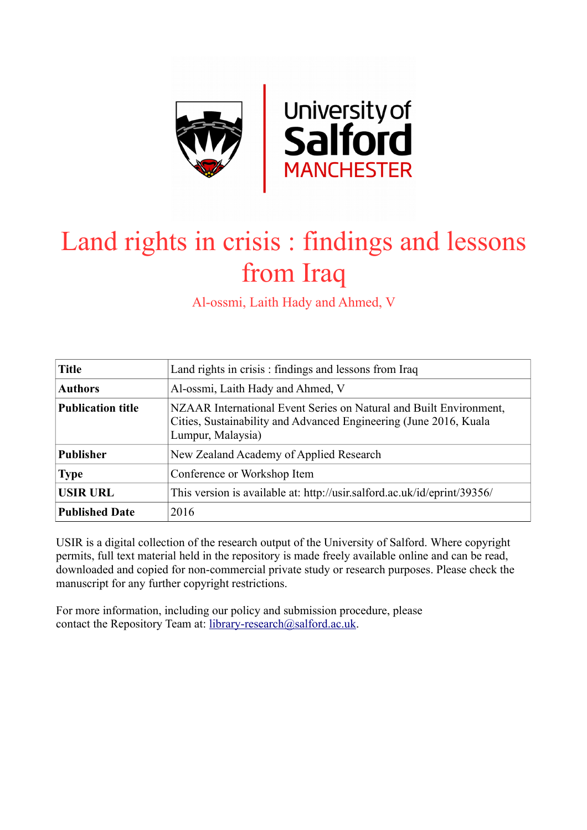

# Land rights in crisis : findings and lessons from Iraq

Al-ossmi, Laith Hady and Ahmed, V

| <b>Title</b>             | Land rights in crisis: findings and lessons from Iraq                                                                                                        |
|--------------------------|--------------------------------------------------------------------------------------------------------------------------------------------------------------|
| <b>Authors</b>           | Al-ossmi, Laith Hady and Ahmed, V                                                                                                                            |
| <b>Publication title</b> | NZAAR International Event Series on Natural and Built Environment,<br>Cities, Sustainability and Advanced Engineering (June 2016, Kuala<br>Lumpur, Malaysia) |
| <b>Publisher</b>         | New Zealand Academy of Applied Research                                                                                                                      |
| <b>Type</b>              | Conference or Workshop Item                                                                                                                                  |
| <b>USIR URL</b>          | This version is available at: http://usir.salford.ac.uk/id/eprint/39356/                                                                                     |
| <b>Published Date</b>    | 2016                                                                                                                                                         |

USIR is a digital collection of the research output of the University of Salford. Where copyright permits, full text material held in the repository is made freely available online and can be read, downloaded and copied for non-commercial private study or research purposes. Please check the manuscript for any further copyright restrictions.

For more information, including our policy and submission procedure, please contact the Repository Team at: [library-research@salford.ac.uk.](mailto:library-research@salford.ac.uk)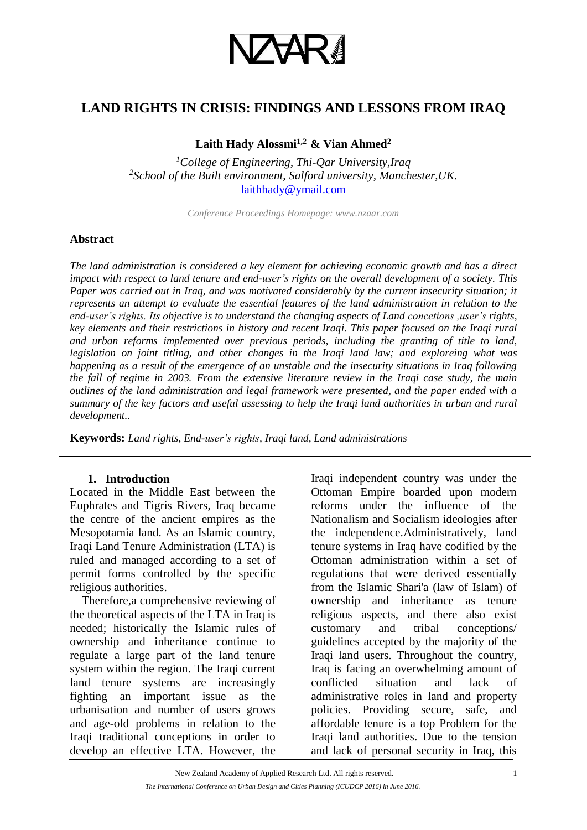

# **LAND RIGHTS IN CRISIS: FINDINGS AND LESSONS FROM IRAQ**

**Laith Hady Alossmi1,2 & Vian Ahmed<sup>2</sup>**

*<sup>1</sup>College of Engineering, Thi-Qar University,Iraq 2 School of the Built environment, Salford university, Manchester,UK.*  [laithhady@ymail.com](mailto:laithhady@ymail.com)

*Conference Proceedings Homepage: www.nzaar.com*

#### **Abstract**

*The land administration is considered a key element for achieving economic growth and has a direct impact with respect to land tenure and end-user's rights on the overall development of a society. This Paper was carried out in Iraq, and was motivated considerably by the current insecurity situation; it represents an attempt to evaluate the essential features of the land administration in relation to the end-user's rights. Its objective is to understand the changing aspects of Land concetions ,user's rights, key elements and their restrictions in history and recent Iraqi. This paper focused on the Iraqi rural and urban reforms implemented over previous periods, including the granting of title to land, legislation on joint titling, and other changes in the Iraqi land law; and exploreing what was happening as a result of the emergence of an unstable and the insecurity situations in Iraq following the fall of regime in 2003. From the extensive literature review in the Iraqi case study, the main outlines of the land administration and legal framework were presented, and the paper ended with a summary of the key factors and useful assessing to help the Iraqi land authorities in urban and rural development..*

**Keywords:** *Land rights, End-user's rights, Iraqi land, Land administrations*

#### **1. Introduction**

Located in the Middle East between the Euphrates and Tigris Rivers, Iraq became the centre of the ancient empires as the Mesopotamia land. As an Islamic country, Iraqi Land Tenure Administration (LTA) is ruled and managed according to a set of permit forms controlled by the specific religious authorities.

 Therefore,a comprehensive reviewing of the theoretical aspects of the LTA in Iraq is needed; historically the Islamic rules of ownership and inheritance continue to regulate a large part of the land tenure system within the region. The Iraqi current land tenure systems are increasingly fighting an important issue as the urbanisation and number of users grows and age-old problems in relation to the Iraqi traditional conceptions in order to develop an effective LTA. However, the

Iraqi independent country was under the Ottoman Empire boarded upon modern reforms under the influence of the Nationalism and Socialism ideologies after the independence.Administratively, land tenure systems in Iraq have codified by the Ottoman administration within a set of regulations that were derived essentially from the Islamic Shari'a (law of Islam) of ownership and inheritance as tenure religious aspects, and there also exist customary and tribal conceptions/ guidelines accepted by the majority of the Iraqi land users. Throughout the country, Iraq is facing an overwhelming amount of conflicted situation and lack of administrative roles in land and property policies. Providing secure, safe, and affordable tenure is a top Problem for the Iraqi land authorities. Due to the tension and lack of personal security in Iraq, this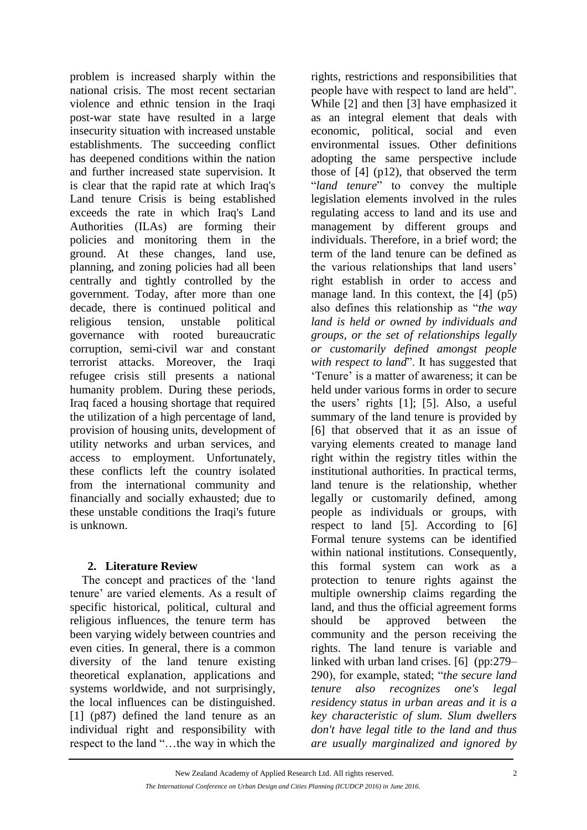problem is increased sharply within the national crisis. The most recent sectarian violence and ethnic tension in the Iraqi post-war state have resulted in a large insecurity situation with increased unstable establishments. The succeeding conflict has deepened conditions within the nation and further increased state supervision. It is clear that the rapid rate at which Iraq's Land tenure Crisis is being established exceeds the rate in which Iraq's Land Authorities (ILAs) are forming their policies and monitoring them in the ground. At these changes, land use, planning, and zoning policies had all been centrally and tightly controlled by the government. Today, after more than one decade, there is continued political and religious tension, unstable political governance with rooted bureaucratic corruption, semi-civil war and constant terrorist attacks. Moreover, the Iraqi refugee crisis still presents a national humanity problem. During these periods, Iraq faced a housing shortage that required the utilization of a high percentage of land, provision of housing units, development of utility networks and urban services, and access to employment. Unfortunately, these conflicts left the country isolated from the international community and financially and socially exhausted; due to these unstable conditions the Iraqi's future is unknown.

# **2. Literature Review**

 The concept and practices of the 'land tenure' are varied elements. As a result of specific historical, political, cultural and religious influences, the tenure term has been varying widely between countries and even cities. In general, there is a common diversity of the land tenure existing theoretical explanation, applications and systems worldwide, and not surprisingly, the local influences can be distinguished. [1] (p87) defined the land tenure as an individual right and responsibility with respect to the land "…the way in which the

rights, restrictions and responsibilities that people have with respect to land are held". While [2] and then [3] have emphasized it as an integral element that deals with economic, political, social and even environmental issues. Other definitions adopting the same perspective include those of [4] (p12), that observed the term "*land tenure*" to convey the multiple legislation elements involved in the rules regulating access to land and its use and management by different groups and individuals. Therefore, in a brief word; the term of the land tenure can be defined as the various relationships that land users' right establish in order to access and manage land. In this context, the [4] (p5) also defines this relationship as "*the way land is held or owned by individuals and groups, or the set of relationships legally or customarily defined amongst people with respect to land*". It has suggested that 'Tenure' is a matter of awareness; it can be held under various forms in order to secure the users' rights [1]; [5]. Also, a useful summary of the land tenure is provided by [6] that observed that it as an issue of varying elements created to manage land right within the registry titles within the institutional authorities. In practical terms, land tenure is the relationship, whether legally or customarily defined, among people as individuals or groups, with respect to land [5]. According to [6] Formal tenure systems can be identified within national institutions. Consequently, this formal system can work as a protection to tenure rights against the multiple ownership claims regarding the land, and thus the official agreement forms should be approved between the community and the person receiving the rights. The land tenure is variable and linked with urban land crises. [6] (pp:279– 290), for example, stated; "*the secure land tenure also recognizes one's legal residency status in urban areas and it is a key characteristic of slum. Slum dwellers don't have legal title to the land and thus are usually marginalized and ignored by*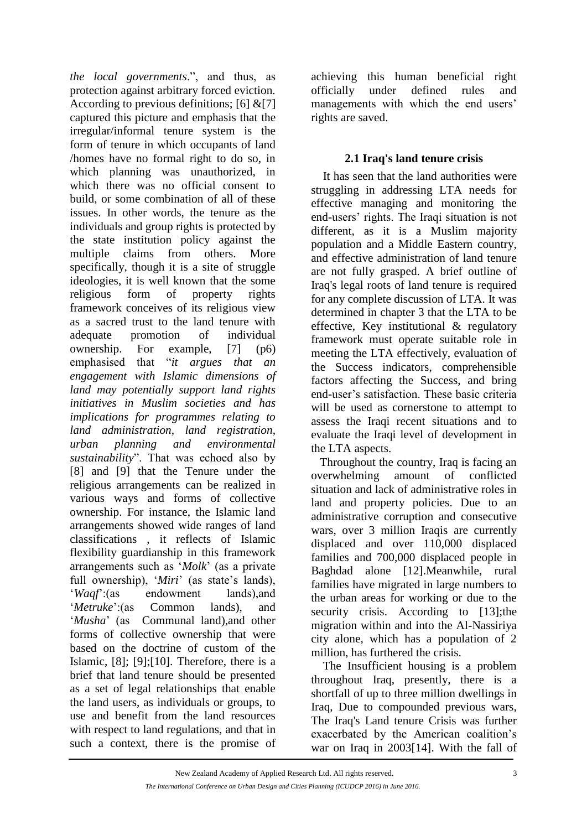*the local governments*.", and thus, as protection against arbitrary forced eviction. According to previous definitions; [6]  $&[7]$ captured this picture and emphasis that the irregular/informal tenure system is the form of tenure in which occupants of land /homes have no formal right to do so, in which planning was unauthorized, in which there was no official consent to build, or some combination of all of these issues. In other words, the tenure as the individuals and group rights is protected by the state institution policy against the multiple claims from others. More specifically, though it is a site of struggle ideologies, it is well known that the some religious form of property rights framework conceives of its religious view as a sacred trust to the land tenure with adequate promotion of individual ownership. For example, [7] (p6) emphasised that "*it argues that an engagement with Islamic dimensions of land may potentially support land rights initiatives in Muslim societies and has implications for programmes relating to land administration, land registration, urban planning and environmental sustainability*". That was echoed also by [8] and [9] that the Tenure under the religious arrangements can be realized in various ways and forms of collective ownership. For instance, the Islamic land arrangements showed wide ranges of land classifications , it reflects of Islamic flexibility guardianship in this framework arrangements such as '*Molk*' (as a private full ownership), '*Miri*' (as state's lands), '*Waqf*':(as endowment lands),and '*Metruke*':(as Common lands), and '*Musha*' (as Communal land),and other forms of collective ownership that were based on the doctrine of custom of the Islamic, [8]; [9];[10]. Therefore, there is a brief that land tenure should be presented as a set of legal relationships that enable the land users, as individuals or groups, to use and benefit from the land resources with respect to land regulations, and that in such a context, there is the promise of

achieving this human beneficial right officially under defined rules and managements with which the end users' rights are saved.

#### **2.1 Iraq's land tenure crisis**

 It has seen that the land authorities were struggling in addressing LTA needs for effective managing and monitoring the end-users' rights. The Iraqi situation is not different, as it is a Muslim majority population and a Middle Eastern country, and effective administration of land tenure are not fully grasped. A brief outline of Iraq's legal roots of land tenure is required for any complete discussion of LTA. It was determined in chapter 3 that the LTA to be effective, Key institutional & regulatory framework must operate suitable role in meeting the LTA effectively, evaluation of the Success indicators, comprehensible factors affecting the Success, and bring end-user's satisfaction. These basic criteria will be used as cornerstone to attempt to assess the Iraqi recent situations and to evaluate the Iraqi level of development in the LTA aspects.

 Throughout the country, Iraq is facing an overwhelming amount of conflicted situation and lack of administrative roles in land and property policies. Due to an administrative corruption and consecutive wars, over 3 million Iraqis are currently displaced and over 110,000 displaced families and 700,000 displaced people in Baghdad alone [12].Meanwhile, rural families have migrated in large numbers to the urban areas for working or due to the security crisis. According to [13]; the migration within and into the Al-Nassiriya city alone, which has a population of 2 million, has furthered the crisis.

 The Insufficient housing is a problem throughout Iraq, presently, there is a shortfall of up to three million dwellings in Iraq, Due to compounded previous wars, The Iraq's Land tenure Crisis was further exacerbated by the American coalition's war on Iraq in 2003[14]. With the fall of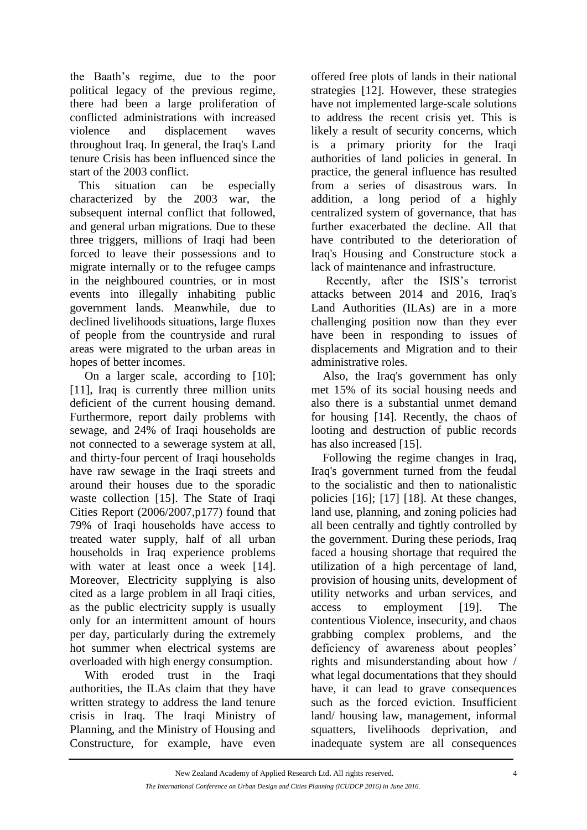the Baath's regime, due to the poor political legacy of the previous regime, there had been a large proliferation of conflicted administrations with increased violence and displacement waves throughout Iraq. In general, the Iraq's Land tenure Crisis has been influenced since the start of the 2003 conflict.

 This situation can be especially characterized by the 2003 war, the subsequent internal conflict that followed, and general urban migrations. Due to these three triggers, millions of Iraqi had been forced to leave their possessions and to migrate internally or to the refugee camps in the neighboured countries, or in most events into illegally inhabiting public government lands. Meanwhile, due to declined livelihoods situations, large fluxes of people from the countryside and rural areas were migrated to the urban areas in hopes of better incomes.

 On a larger scale, according to [10]; [11], Iraq is currently three million units deficient of the current housing demand. Furthermore, report daily problems with sewage, and 24% of Iraqi households are not connected to a sewerage system at all, and thirty-four percent of Iraqi households have raw sewage in the Iraqi streets and around their houses due to the sporadic waste collection [15]. The State of Iraqi Cities Report (2006/2007,p177) found that 79% of Iraqi households have access to treated water supply, half of all urban households in Iraq experience problems with water at least once a week [14]. Moreover, Electricity supplying is also cited as a large problem in all Iraqi cities, as the public electricity supply is usually only for an intermittent amount of hours per day, particularly during the extremely hot summer when electrical systems are overloaded with high energy consumption.

With eroded trust in the Iraqi authorities, the ILAs claim that they have written strategy to address the land tenure crisis in Iraq. The Iraqi Ministry of Planning, and the Ministry of Housing and Constructure, for example, have even

offered free plots of lands in their national strategies [12]. However, these strategies have not implemented large-scale solutions to address the recent crisis yet. This is likely a result of security concerns, which is a primary priority for the Iraqi authorities of land policies in general. In practice, the general influence has resulted from a series of disastrous wars. In addition, a long period of a highly centralized system of governance, that has further exacerbated the decline. All that have contributed to the deterioration of Iraq's Housing and Constructure stock a lack of maintenance and infrastructure.

 Recently, after the ISIS's terrorist attacks between 2014 and 2016, Iraq's Land Authorities (ILAs) are in a more challenging position now than they ever have been in responding to issues of displacements and Migration and to their administrative roles.

 Also, the Iraq's government has only met 15% of its social housing needs and also there is a substantial unmet demand for housing [14]. Recently, the chaos of looting and destruction of public records has also increased [15].

 Following the regime changes in Iraq, Iraq's government turned from the feudal to the socialistic and then to nationalistic policies [16]; [17] [18]. At these changes, land use, planning, and zoning policies had all been centrally and tightly controlled by the government. During these periods, Iraq faced a housing shortage that required the utilization of a high percentage of land, provision of housing units, development of utility networks and urban services, and access to employment [19]. The contentious Violence, insecurity, and chaos grabbing complex problems, and the deficiency of awareness about peoples' rights and misunderstanding about how / what legal documentations that they should have, it can lead to grave consequences such as the forced eviction. Insufficient land/ housing law, management, informal squatters, livelihoods deprivation, and inadequate system are all consequences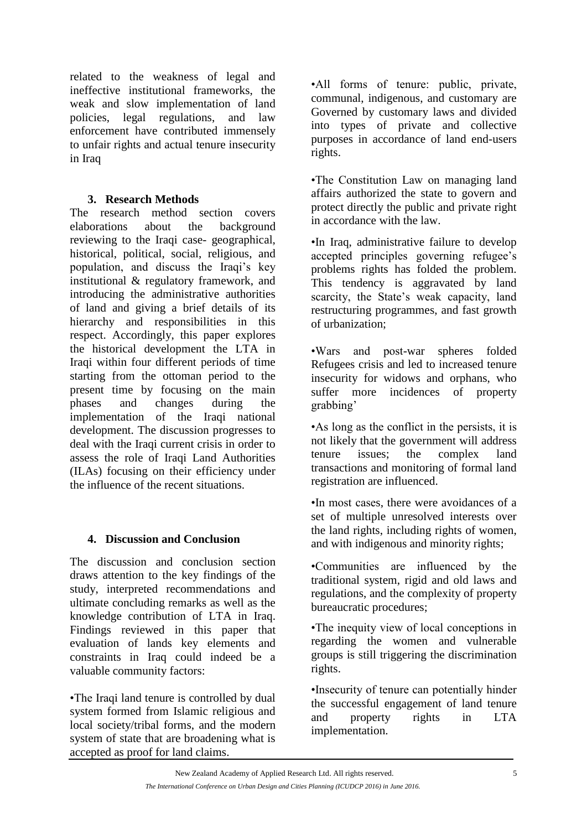related to the weakness of legal and ineffective institutional frameworks, the weak and slow implementation of land policies, legal regulations, and law enforcement have contributed immensely to unfair rights and actual tenure insecurity in Iraq

## **3. Research Methods**

The research method section covers elaborations about the background reviewing to the Iraqi case- geographical, historical, political, social, religious, and population, and discuss the Iraqi's key institutional & regulatory framework, and introducing the administrative authorities of land and giving a brief details of its hierarchy and responsibilities in this respect. Accordingly, this paper explores the historical development the LTA in Iraqi within four different periods of time starting from the ottoman period to the present time by focusing on the main phases and changes during the implementation of the Iraqi national development. The discussion progresses to deal with the Iraqi current crisis in order to assess the role of Iraqi Land Authorities (ILAs) focusing on their efficiency under the influence of the recent situations.

# **4. Discussion and Conclusion**

The discussion and conclusion section draws attention to the key findings of the study, interpreted recommendations and ultimate concluding remarks as well as the knowledge contribution of LTA in Iraq. Findings reviewed in this paper that evaluation of lands key elements and constraints in Iraq could indeed be a valuable community factors:

•The Iraqi land tenure is controlled by dual system formed from Islamic religious and local society/tribal forms, and the modern system of state that are broadening what is accepted as proof for land claims.

•All forms of tenure: public, private, communal, indigenous, and customary are Governed by customary laws and divided into types of private and collective purposes in accordance of land end-users rights.

•The Constitution Law on managing land affairs authorized the state to govern and protect directly the public and private right in accordance with the law.

•In Iraq, administrative failure to develop accepted principles governing refugee's problems rights has folded the problem. This tendency is aggravated by land scarcity, the State's weak capacity, land restructuring programmes, and fast growth of urbanization;

•Wars and post-war spheres folded Refugees crisis and led to increased tenure insecurity for widows and orphans, who suffer more incidences of property grabbing'

•As long as the conflict in the persists, it is not likely that the government will address tenure issues; the complex land transactions and monitoring of formal land registration are influenced.

•In most cases, there were avoidances of a set of multiple unresolved interests over the land rights, including rights of women, and with indigenous and minority rights;

•Communities are influenced by the traditional system, rigid and old laws and regulations, and the complexity of property bureaucratic procedures;

•The inequity view of local conceptions in regarding the women and vulnerable groups is still triggering the discrimination rights.

•Insecurity of tenure can potentially hinder the successful engagement of land tenure and property rights in LTA implementation.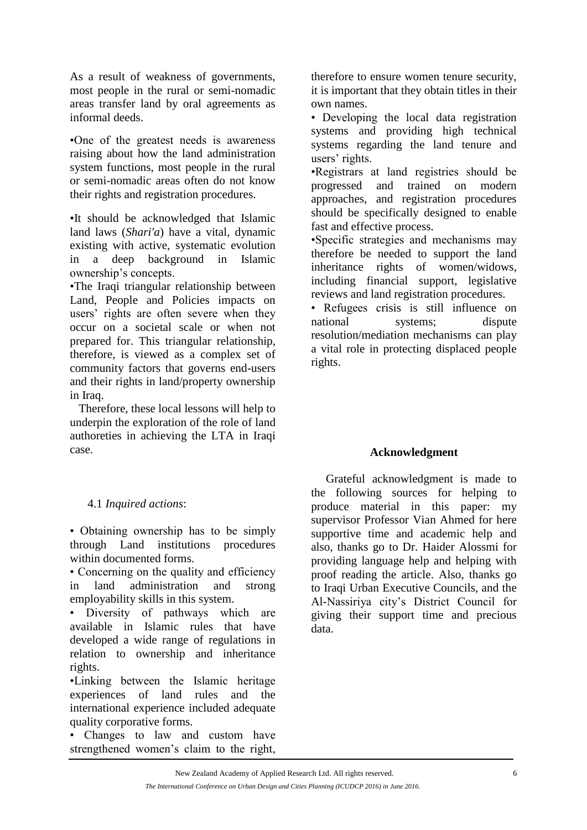As a result of weakness of governments, most people in the rural or semi-nomadic areas transfer land by oral agreements as informal deeds.

•One of the greatest needs is awareness raising about how the land administration system functions, most people in the rural or semi-nomadic areas often do not know their rights and registration procedures.

•It should be acknowledged that Islamic land laws (*Shari'a*) have a vital, dynamic existing with active, systematic evolution in a deep background in Islamic ownership's concepts.

•The Iraqi triangular relationship between Land, People and Policies impacts on users' rights are often severe when they occur on a societal scale or when not prepared for. This triangular relationship, therefore, is viewed as a complex set of community factors that governs end-users and their rights in land/property ownership in Iraq.

 Therefore, these local lessons will help to underpin the exploration of the role of land authoreties in achieving the LTA in Iraqi case.

#### 4.1 *Inquired actions*:

• Obtaining ownership has to be simply through Land institutions procedures within documented forms.

• Concerning on the quality and efficiency in land administration and strong employability skills in this system.

• Diversity of pathways which are available in Islamic rules that have developed a wide range of regulations in relation to ownership and inheritance rights.

•Linking between the Islamic heritage experiences of land rules and the international experience included adequate quality corporative forms.

• Changes to law and custom have strengthened women's claim to the right,

therefore to ensure women tenure security, it is important that they obtain titles in their own names.

• Developing the local data registration systems and providing high technical systems regarding the land tenure and users' rights.

•Registrars at land registries should be progressed and trained on modern approaches, and registration procedures should be specifically designed to enable fast and effective process.

•Specific strategies and mechanisms may therefore be needed to support the land inheritance rights of women/widows, including financial support, legislative reviews and land registration procedures.

• Refugees crisis is still influence on national systems; dispute resolution/mediation mechanisms can play a vital role in protecting displaced people rights.

#### **Acknowledgment**

 Grateful acknowledgment is made to the following sources for helping to produce material in this paper: my supervisor Professor Vian Ahmed for here supportive time and academic help and also, thanks go to Dr. Haider Alossmi for providing language help and helping with proof reading the article. Also, thanks go to Iraqi Urban Executive Councils, and the Al-Nassiriya city's District Council for giving their support time and precious data.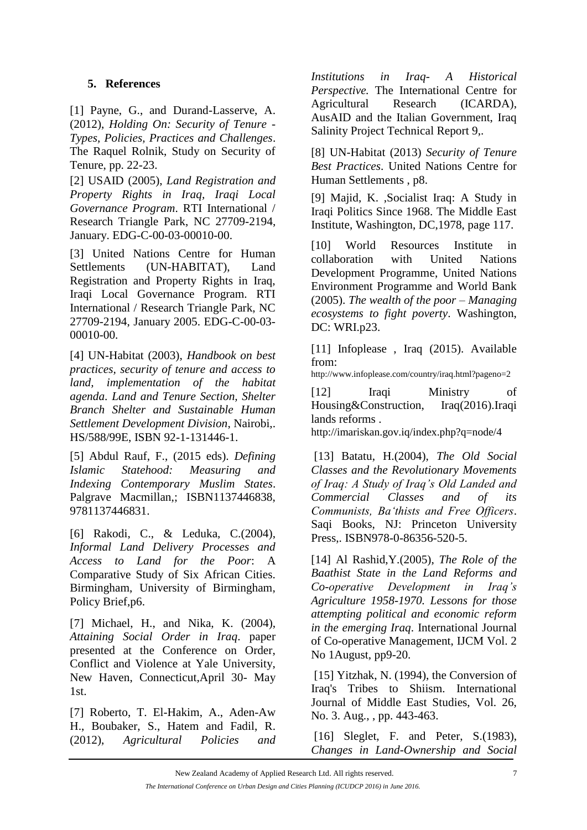### **5. References**

[1] Payne, G., and Durand-Lasserve, A. (2012), *Holding On: Security of Tenure - Types, Policies, Practices and Challenges*. The Raquel Rolnik, Study on Security of Tenure, pp. 22-23.

[2] USAID (2005), *Land Registration and Property Rights in Iraq, Iraqi Local Governance Program*. RTI International / Research Triangle Park, NC 27709-2194, January. EDG-C-00-03-00010-00.

[3] United Nations Centre for Human Settlements (UN-HABITAT), Land Registration and Property Rights in Iraq, Iraqi Local Governance Program. RTI International / Research Triangle Park, NC 27709-2194, January 2005. EDG-C-00-03- 00010-00.

[4] UN-Habitat (2003), *Handbook on best practices, security of tenure and access to land, implementation of the habitat agenda*. *Land and Tenure Section, Shelter Branch Shelter and Sustainable Human Settlement Development Division*, Nairobi,. HS/588/99E, ISBN 92-1-131446-1.

[5] Abdul Rauf, F., (2015 eds). *Defining Islamic Statehood: Measuring and Indexing Contemporary Muslim States*. Palgrave Macmillan,; ISBN1137446838, 9781137446831.

[6] Rakodi, C., & Leduka, C.(2004), *Informal Land Delivery Processes and Access to Land for the Poor*: A Comparative Study of Six African Cities. Birmingham, University of Birmingham, Policy Brief,p6.

[7] Michael, H., and Nika, K. (2004), *Attaining Social Order in Iraq*. paper presented at the Conference on Order, Conflict and Violence at Yale University, New Haven, Connecticut,April 30- May 1st.

[7] Roberto, T. El-Hakim, A., Aden-Aw H., Boubaker, S., Hatem and Fadil, R. (2012), *Agricultural Policies and*  *Institutions in Iraq- A Historical Perspective.* The International Centre for Agricultural Research (ICARDA), AusAID and the Italian Government, Iraq Salinity Project Technical Report 9,.

[8] UN-Habitat (2013) *Security of Tenure Best Practices*. United Nations Centre for Human Settlements , p8.

[9] Majid, K. ,Socialist Iraq: A Study in Iraqi Politics Since 1968. The Middle East Institute, Washington, DC,1978, page 117.

[10] World Resources Institute in collaboration with United Nations Development Programme, United Nations Environment Programme and World Bank (2005). *The wealth of the poor – Managing ecosystems to fight poverty*. Washington, DC: WRI.p23.

[11] Infoplease, Iraq (2015). Available from:

http://www.infoplease.com/country/iraq.html?pageno=2

[12] Iraqi Ministry of Housing&Construction, Iraq(2016).Iraqi lands reforms .

http://imariskan.gov.iq/index.php?q=node/4

[13] Batatu, H.(2004), *The Old Social Classes and the Revolutionary Movements of Iraq: A Study of Iraq's Old Landed and Commercial Classes and of its Communists, Ba'thists and Free Officers*. Saqi Books, NJ: Princeton University Press,. ISBN978-0-86356-520-5.

[14] Al Rashid,Y.(2005), *The Role of the Baathist State in the Land Reforms and Co-operative Development in Iraq's Agriculture 1958-1970. Lessons for those attempting political and economic reform in the emerging Iraq*. International Journal of Co-operative Management, IJCM Vol. 2 No 1August, pp9-20.

[15] Yitzhak, N. (1994), the Conversion of Iraq's Tribes to Shiism. International Journal of Middle East Studies, Vol. 26, No. 3. Aug., , pp. 443-463.

[16] Sleglet, F. and Peter, S. (1983), *Changes in Land-Ownership and Social*